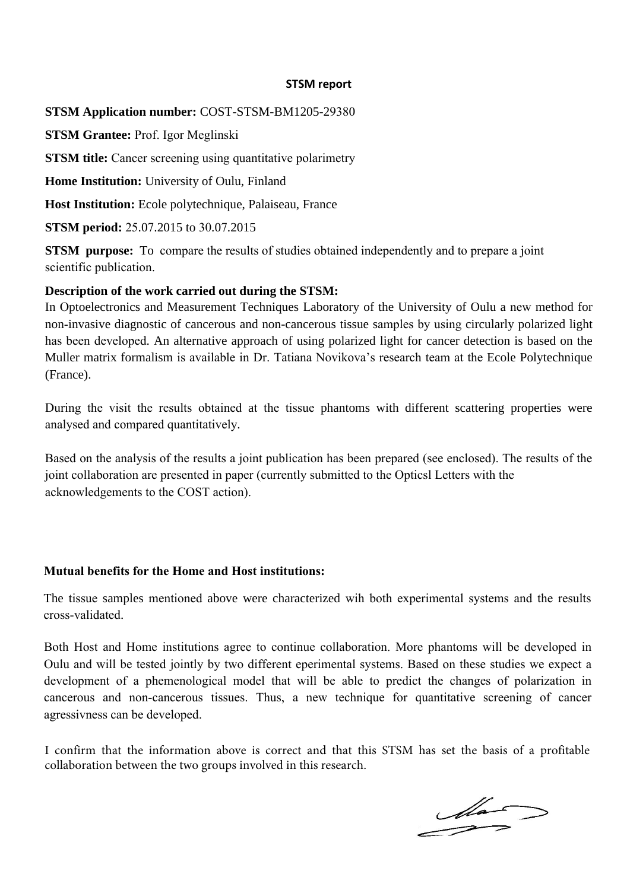#### **STSM report**

**STSM Application number:** COST-STSM-BM1205-29380

**STSM Grantee:** Prof. Igor Meglinski

**STSM title:** Cancer screening using quantitative polarimetry

**Home Institution:** University of Oulu, Finland

**Host Institution:** Ecole polytechnique, Palaiseau, France

**STSM period:** 25.07.2015 to 30.07.2015

**STSM** purpose: To compare the results of studies obtained independently and to prepare a joint scientific publication.

### **Description of the work carried out during the STSM:**

In Optoelectronics and Measurement Techniques Laboratory of the University of Oulu a new method for non-invasive diagnostic of cancerous and non-cancerous tissue samples by using circularly polarized light has been developed. An alternative approach of using polarized light for cancer detection is based on the Muller matrix formalism is available in Dr. Tatiana Novikova's research team at the Ecole Polytechnique (France).

During the visit the results obtained at the tissue phantoms with different scattering properties were analysed and compared quantitatively.

Based on the analysis of the results a joint publication has been prepared (see enclosed). The results of the joint collaboration are presented in paper (currently submitted to the Opticsl Letters with the acknowledgements to the COST action).

# **Mutual benefits for the Home and Host institutions:**

The tissue samples mentioned above were characterized wih both experimental systems and the results cross-validated.

Both Host and Home institutions agree to continue collaboration. More phantoms will be developed in Oulu and will be tested jointly by two different eperimental systems. Based on these studies we expect a development of a phemenological model that will be able to predict the changes of polarization in cancerous and non-cancerous tissues. Thus, a new technique for quantitative screening of cancer agressivness can be developed.

I confirm that the information above is correct and that this STSM has set the basis of a profitable collaboration between the two groups involved in this research.

 $\frac{d\vec{a}}{dt}$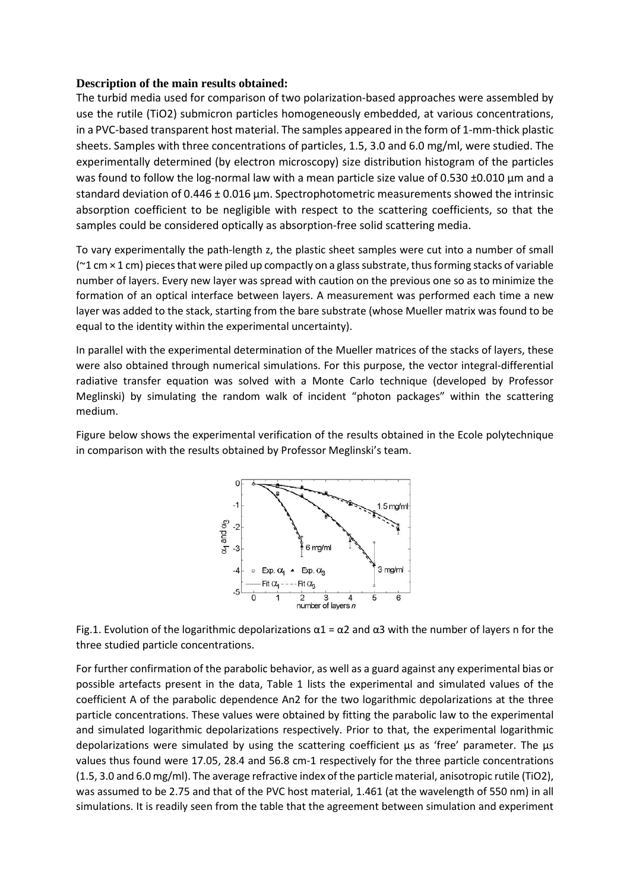### **Description of the main results obtained:**

The turbid media used for comparison of two polarization-based approaches were assembled by use the rutile (TiO2) submicron particles homogeneously embedded, at various concentrations, in a PVC-based transparent host material. The samples appeared in the form of 1-mm-thick plastic sheets. Samples with three concentrations of particles, 1.5, 3.0 and 6.0 mg/ml, were studied. The experimentally determined (by electron microscopy) size distribution histogram of the particles was found to follow the log-normal law with a mean particle size value of 0.530 ±0.010 μm and a standard deviation of 0.446 ± 0.016 μm. Spectrophotometric measurements showed the intrinsic absorption coefficient to be negligible with respect to the scattering coefficients, so that the samples could be considered optically as absorption-free solid scattering media.

To vary experimentally the path-length z, the plastic sheet samples were cut into a number of small  $(21 \text{ cm} \times 1 \text{ cm})$  pieces that were piled up compactly on a glass substrate, thus forming stacks of variable number of layers. Every new layer was spread with caution on the previous one so as to minimize the formation of an optical interface between layers. A measurement was performed each time a new layer was added to the stack, starting from the bare substrate (whose Mueller matrix was found to be equal to the identity within the experimental uncertainty).

In parallel with the experimental determination of the Mueller matrices of the stacks of layers, these were also obtained through numerical simulations. For this purpose, the vector integral-differential radiative transfer equation was solved with a Monte Carlo technique (developed by Professor Meglinski) by simulating the random walk of incident "photon packages" within the scattering medium.

Figure below shows the experimental verification of the results obtained in the Ecole polytechnique in comparison with the results obtained by Professor Meglinski's team.



Fig.1. Evolution of the logarithmic depolarizations  $\alpha$ 1 =  $\alpha$ 2 and  $\alpha$ 3 with the number of layers n for the three studied particle concentrations.

For further confirmation of the parabolic behavior, as well as a guard against any experimental bias or possible artefacts present in the data, Table 1 lists the experimental and simulated values of the coefficient A of the parabolic dependence An2 for the two logarithmic depolarizations at the three particle concentrations. These values were obtained by fitting the parabolic law to the experimental and simulated logarithmic depolarizations respectively. Prior to that, the experimental logarithmic depolarizations were simulated by using the scattering coefficient μs as 'free' parameter. The μs values thus found were 17.05, 28.4 and 56.8 cm-1 respectively for the three particle concentrations (1.5, 3.0 and 6.0 mg/ml). The average refractive index of the particle material, anisotropic rutile (TiO2), was assumed to be 2.75 and that of the PVC host material, 1.461 (at the wavelength of 550 nm) in all simulations. It is readily seen from the table that the agreement between simulation and experiment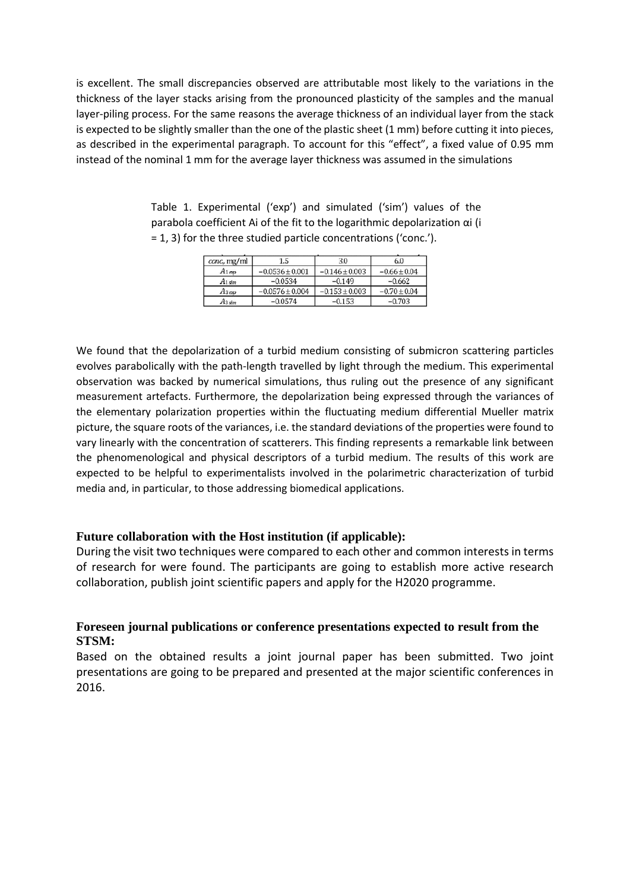is excellent. The small discrepancies observed are attributable most likely to the variations in the thickness of the layer stacks arising from the pronounced plasticity of the samples and the manual layer-piling process. For the same reasons the average thickness of an individual layer from the stack is expected to be slightly smaller than the one of the plastic sheet (1 mm) before cutting it into pieces, as described in the experimental paragraph. To account for this "effect", a fixed value of 0.95 mm instead of the nominal 1 mm for the average layer thickness was assumed in the simulations

| conc, mg/ml       | 1.5                 | 3.0                | 6.0              |
|-------------------|---------------------|--------------------|------------------|
| $A_{1\text{exp}}$ | $-0.0536 \pm 0.001$ | $-0.146 \pm 0.003$ | $-0.66 \pm 0.04$ |
| $A1 \sin$         | $-0.0534$           | $-0.149$           | $-0.662$         |
| $A_3$ ex          | $-0.0576 \pm 0.004$ | $-0.153 \pm 0.003$ | $-0.70 \pm 0.04$ |
| A3 sim            | $-0.0574$           | -0.153             | $-0.703$         |

Table 1. Experimental ('exp') and simulated ('sim') values of the parabola coefficient Ai of the fit to the logarithmic depolarization αi (i = 1, 3) for the three studied particle concentrations ('conc.').

We found that the depolarization of a turbid medium consisting of submicron scattering particles evolves parabolically with the path-length travelled by light through the medium. This experimental observation was backed by numerical simulations, thus ruling out the presence of any significant measurement artefacts. Furthermore, the depolarization being expressed through the variances of the elementary polarization properties within the fluctuating medium differential Mueller matrix picture, the square roots of the variances, i.e. the standard deviations of the properties were found to vary linearly with the concentration of scatterers. This finding represents a remarkable link between the phenomenological and physical descriptors of a turbid medium. The results of this work are expected to be helpful to experimentalists involved in the polarimetric characterization of turbid media and, in particular, to those addressing biomedical applications.

# **Future collaboration with the Host institution (if applicable):**

During the visit two techniques were compared to each other and common interests in terms of research for were found. The participants are going to establish more active research collaboration, publish joint scientific papers and apply for the H2020 programme.

# **Foreseen journal publications or conference presentations expected to result from the STSM:**

Based on the obtained results a joint journal paper has been submitted. Two joint presentations are going to be prepared and presented at the major scientific conferences in 2016.